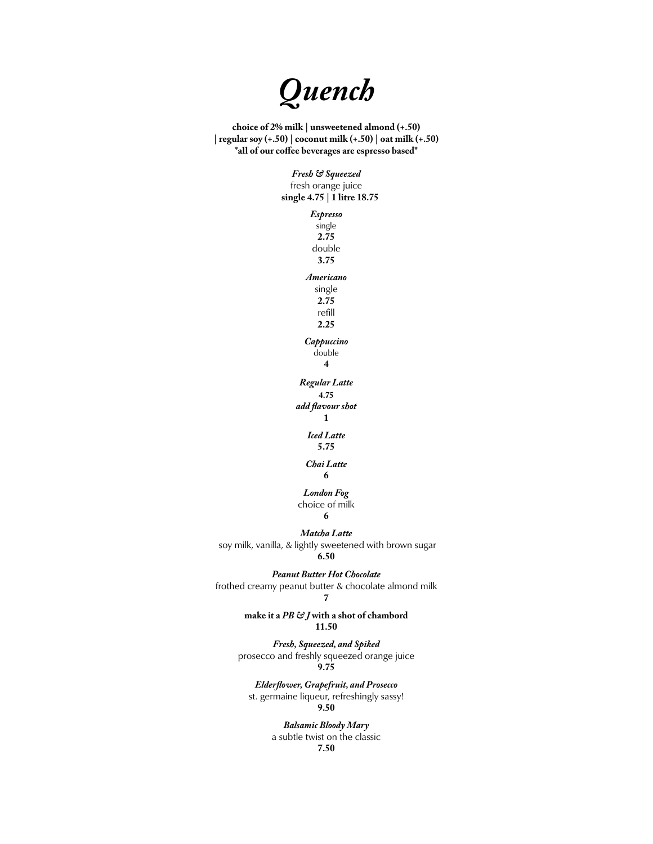

**choice of 2% milk | unsweetened almond (+.50) | regular soy (+.50) | coconut milk (+.50) | oat milk (+.50)**  $*$ all of our coffee beverages are espresso based\*

> *Fresh & Squeezed* fresh orange juice  **single 4.75 | 1 litre 18.75**

> > *Espresso*  single **2.75** double **3.75** *Americano* single **2.75** refill **2.25** *Cappuccino*  double **4** *Regular Latte* **4.75** *add flavour shot* **1** *Iced Latte* **5.75** *Chai Latte* **6** *London Fog*

choice of milk

**6**

*Matcha Latte* soy milk, vanilla, & lightly sweetened with brown sugar **6.50**

*Peanut Butter Hot Chocolate* frothed creamy peanut butter & chocolate almond milk **7**

> **make it a** *PB & J* **with a shot of chambord 11.50**

*Fresh, Squeezed, and Spiked* prosecco and freshly squeezed orange juice **9.75**

*Elderflower, Grapefruit, and Prosecco*  st. germaine liqueur, refreshingly sassy! **9.50**

> *Balsamic Bloody Mary* a subtle twist on the classic **7.50**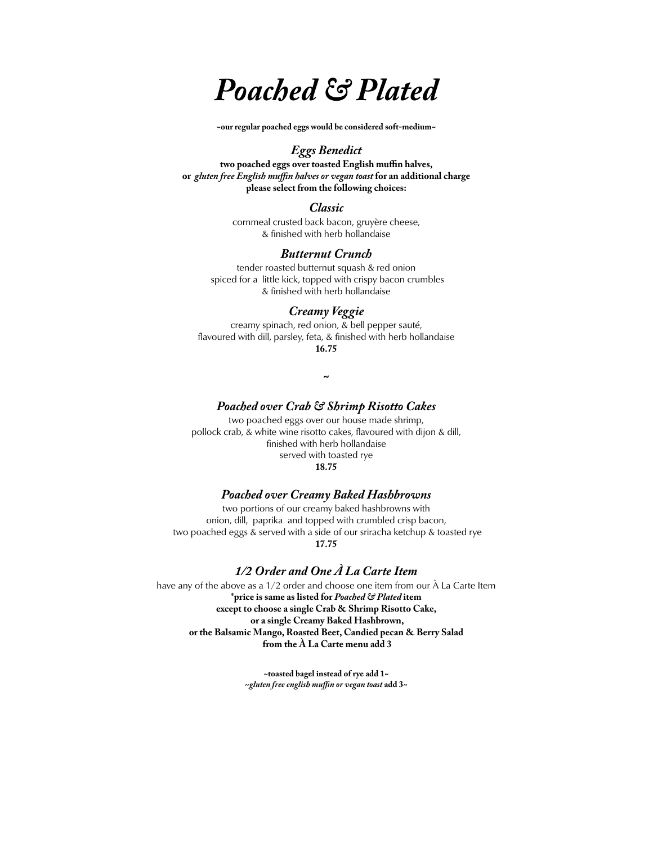# *Poached & Plated*

**~our regular poached eggs would be considered soft-medium~**

## *Eggs Benedict*

**two poached eggs over toasted English muffin halves, or** *gluten free English muffin halves or vegan toast* **for an additional charge please select from the following choices:**

## *Classic*

cornmeal crusted back bacon, gruyère cheese, & finished with herb hollandaise

### *Butternut Crunch*

tender roasted butternut squash & red onion spiced for a little kick, topped with crispy bacon crumbles & finished with herb hollandaise

# *Creamy Veggie*

creamy spinach, red onion, & bell pepper sauté, flavoured with dill, parsley, feta, & finished with herb hollandaise **16.75**

**~**

#### *Poached over Crab & Shrimp Risotto Cakes*

two poached eggs over our house made shrimp, pollock crab, & white wine risotto cakes, flavoured with dijon & dill, finished with herb hollandaise served with toasted rye **18.75**

#### *Poached over Creamy Baked Hashbrowns*

two portions of our creamy baked hashbrowns with onion, dill, paprika and topped with crumbled crisp bacon, two poached eggs & served with a side of our sriracha ketchup & toasted rye **17.75**

## *1/2 Order and One À La Carte Item*

have any of the above as a 1/2 order and choose one item from our À La Carte Item **\*price is same as listed for** *Poached & Plated* **item except to choose a single Crab & Shrimp Risotto Cake, or a single Creamy Baked Hashbrown, or the Balsamic Mango, Roasted Beet, Candied pecan & Berry Salad from the À La Carte menu add 3** 

> **~toasted bagel instead of rye add 1~ ~***gluten free english muffin or vegan toast* **add 3~**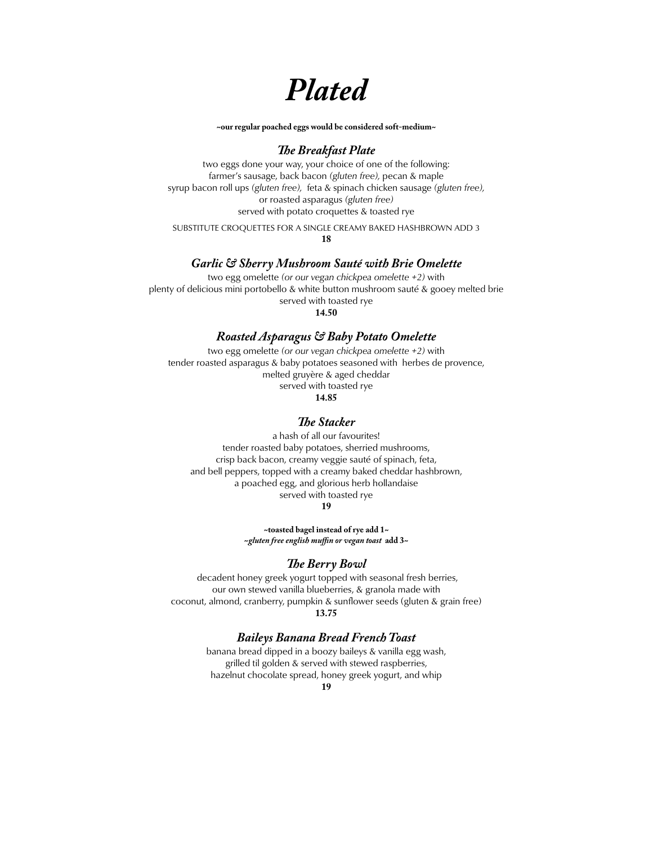*Plated*

**~our regular poached eggs would be considered soft-medium~**

### *The Breakfast Plate*

two eggs done your way, your choice of one of the following: farmer's sausage, back bacon *(gluten free),* pecan & maple syrup bacon roll ups *(gluten free),* feta & spinach chicken sausage *(gluten free),*  or roasted asparagus *(gluten free)* served with potato croquettes & toasted rye

SUBSTITUTE CROQUETTES FOR A SINGLE CREAMY BAKED HASHBROWN ADD 3 **18**

#### *Garlic & Sherry Mushroom Sauté with Brie Omelette*

two egg omelette *(or our vegan chickpea omelette +2)* with plenty of delicious mini portobello & white button mushroom sauté & gooey melted brie served with toasted rye

**14.50**

## *Roasted Asparagus & Baby Potato Omelette*

two egg omelette *(or our vegan chickpea omelette +2)* with tender roasted asparagus & baby potatoes seasoned with herbes de provence, melted gruyère & aged cheddar served with toasted rye **14.85**

## *The Stacker*

a hash of all our favourites! tender roasted baby potatoes, sherried mushrooms, crisp back bacon, creamy veggie sauté of spinach, feta, and bell peppers, topped with a creamy baked cheddar hashbrown, a poached egg, and glorious herb hollandaise served with toasted rye

**19**

**~toasted bagel instead of rye add 1~ ~***gluten free english muffin or vegan toast* **add 3~**

#### *The Berry Bowl*

 decadent honey greek yogurt topped with seasonal fresh berries, our own stewed vanilla blueberries, & granola made with coconut, almond, cranberry, pumpkin & sunflower seeds (gluten & grain free)

#### **13.75**

#### *Baileys Banana Bread French Toast*

banana bread dipped in a boozy baileys & vanilla egg wash, grilled til golden & served with stewed raspberries, hazelnut chocolate spread, honey greek yogurt, and whip